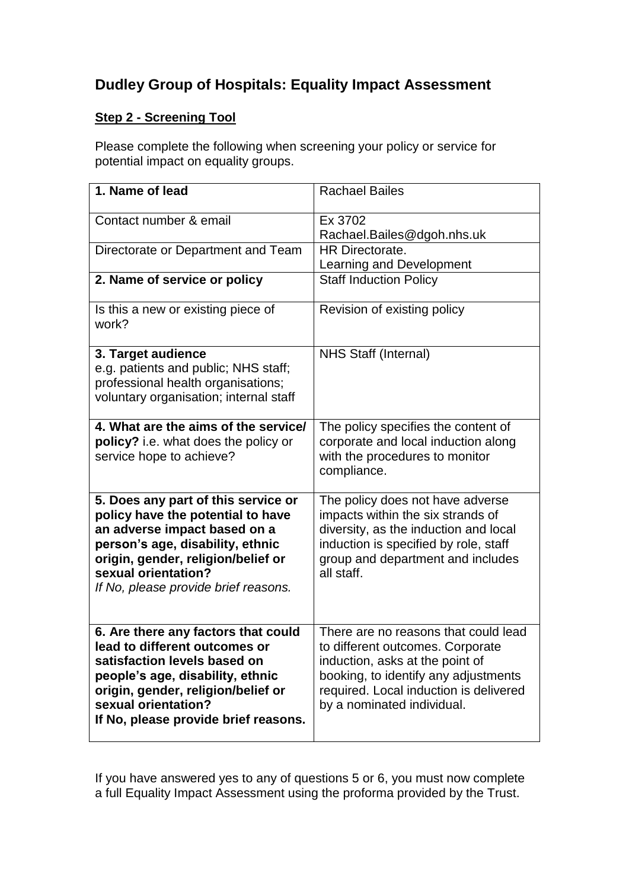## **Dudley Group of Hospitals: Equality Impact Assessment**

## **Step 2 - Screening Tool**

Please complete the following when screening your policy or service for potential impact on equality groups.

| 1. Name of lead                                                                                                                                                                                                                                   | <b>Rachael Bailes</b>                                                                                                                                                                                                       |
|---------------------------------------------------------------------------------------------------------------------------------------------------------------------------------------------------------------------------------------------------|-----------------------------------------------------------------------------------------------------------------------------------------------------------------------------------------------------------------------------|
| Contact number & email                                                                                                                                                                                                                            | Ex 3702<br>Rachael.Bailes@dgoh.nhs.uk                                                                                                                                                                                       |
| Directorate or Department and Team                                                                                                                                                                                                                | HR Directorate.<br>Learning and Development                                                                                                                                                                                 |
| 2. Name of service or policy                                                                                                                                                                                                                      | <b>Staff Induction Policy</b>                                                                                                                                                                                               |
| Is this a new or existing piece of<br>work?                                                                                                                                                                                                       | Revision of existing policy                                                                                                                                                                                                 |
| 3. Target audience<br>e.g. patients and public; NHS staff;<br>professional health organisations;<br>voluntary organisation; internal staff                                                                                                        | <b>NHS Staff (Internal)</b>                                                                                                                                                                                                 |
| 4. What are the aims of the service/<br>policy? i.e. what does the policy or<br>service hope to achieve?                                                                                                                                          | The policy specifies the content of<br>corporate and local induction along<br>with the procedures to monitor<br>compliance.                                                                                                 |
| 5. Does any part of this service or<br>policy have the potential to have<br>an adverse impact based on a<br>person's age, disability, ethnic<br>origin, gender, religion/belief or<br>sexual orientation?<br>If No, please provide brief reasons. | The policy does not have adverse<br>impacts within the six strands of<br>diversity, as the induction and local<br>induction is specified by role, staff<br>group and department and includes<br>all staff.                  |
| 6. Are there any factors that could<br>lead to different outcomes or<br>satisfaction levels based on<br>people's age, disability, ethnic<br>origin, gender, religion/belief or<br>sexual orientation?<br>If No, please provide brief reasons.     | There are no reasons that could lead<br>to different outcomes. Corporate<br>induction, asks at the point of<br>booking, to identify any adjustments<br>required. Local induction is delivered<br>by a nominated individual. |

If you have answered yes to any of questions 5 or 6, you must now complete a full Equality Impact Assessment using the proforma provided by the Trust.